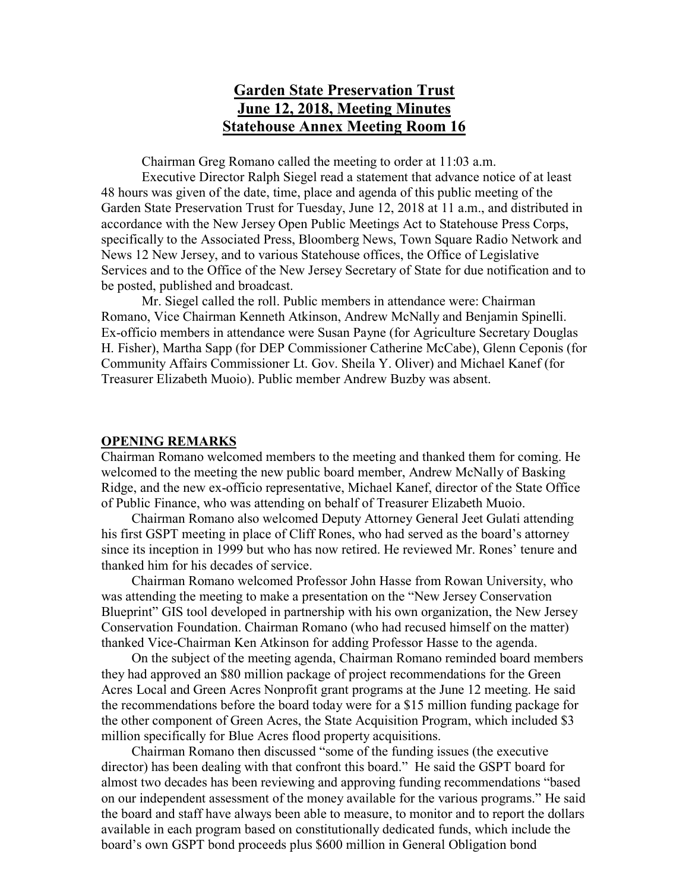# **Garden State Preservation Trust June 12, 2018, Meeting Minutes Statehouse Annex Meeting Room 16**

Chairman Greg Romano called the meeting to order at 11:03 a.m.

Executive Director Ralph Siegel read a statement that advance notice of at least 48 hours was given of the date, time, place and agenda of this public meeting of the Garden State Preservation Trust for Tuesday, June 12, 2018 at 11 a.m., and distributed in accordance with the New Jersey Open Public Meetings Act to Statehouse Press Corps, specifically to the Associated Press, Bloomberg News, Town Square Radio Network and News 12 New Jersey, and to various Statehouse offices, the Office of Legislative Services and to the Office of the New Jersey Secretary of State for due notification and to be posted, published and broadcast.

Mr. Siegel called the roll. Public members in attendance were: Chairman Romano, Vice Chairman Kenneth Atkinson, Andrew McNally and Benjamin Spinelli. Ex-officio members in attendance were Susan Payne (for Agriculture Secretary Douglas H. Fisher), Martha Sapp (for DEP Commissioner Catherine McCabe), Glenn Ceponis (for Community Affairs Commissioner Lt. Gov. Sheila Y. Oliver) and Michael Kanef (for Treasurer Elizabeth Muoio). Public member Andrew Buzby was absent.

#### **OPENING REMARKS**

Chairman Romano welcomed members to the meeting and thanked them for coming. He welcomed to the meeting the new public board member, Andrew McNally of Basking Ridge, and the new ex-officio representative, Michael Kanef, director of the State Office of Public Finance, who was attending on behalf of Treasurer Elizabeth Muoio.

Chairman Romano also welcomed Deputy Attorney General Jeet Gulati attending his first GSPT meeting in place of Cliff Rones, who had served as the board's attorney since its inception in 1999 but who has now retired. He reviewed Mr. Rones' tenure and thanked him for his decades of service.

Chairman Romano welcomed Professor John Hasse from Rowan University, who was attending the meeting to make a presentation on the "New Jersey Conservation Blueprint" GIS tool developed in partnership with his own organization, the New Jersey Conservation Foundation. Chairman Romano (who had recused himself on the matter) thanked Vice-Chairman Ken Atkinson for adding Professor Hasse to the agenda.

On the subject of the meeting agenda, Chairman Romano reminded board members they had approved an \$80 million package of project recommendations for the Green Acres Local and Green Acres Nonprofit grant programs at the June 12 meeting. He said the recommendations before the board today were for a \$15 million funding package for the other component of Green Acres, the State Acquisition Program, which included \$3 million specifically for Blue Acres flood property acquisitions.

Chairman Romano then discussed "some of the funding issues (the executive director) has been dealing with that confront this board." He said the GSPT board for almost two decades has been reviewing and approving funding recommendations "based on our independent assessment of the money available for the various programs." He said the board and staff have always been able to measure, to monitor and to report the dollars available in each program based on constitutionally dedicated funds, which include the board's own GSPT bond proceeds plus \$600 million in General Obligation bond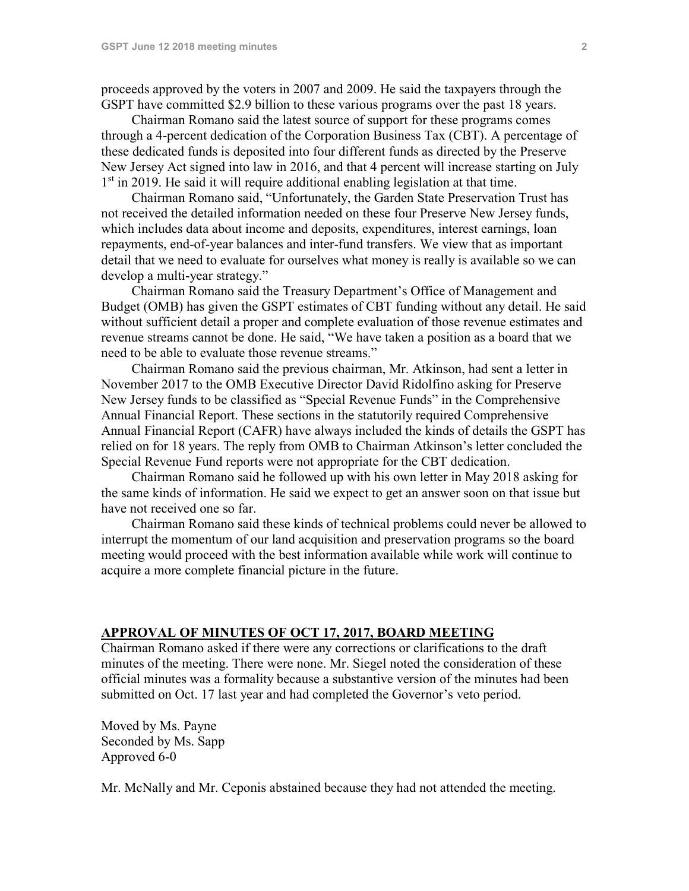proceeds approved by the voters in 2007 and 2009. He said the taxpayers through the GSPT have committed \$2.9 billion to these various programs over the past 18 years.

Chairman Romano said the latest source of support for these programs comes through a 4-percent dedication of the Corporation Business Tax (CBT). A percentage of these dedicated funds is deposited into four different funds as directed by the Preserve New Jersey Act signed into law in 2016, and that 4 percent will increase starting on July 1<sup>st</sup> in 2019. He said it will require additional enabling legislation at that time.

Chairman Romano said, "Unfortunately, the Garden State Preservation Trust has not received the detailed information needed on these four Preserve New Jersey funds, which includes data about income and deposits, expenditures, interest earnings, loan repayments, end-of-year balances and inter-fund transfers. We view that as important detail that we need to evaluate for ourselves what money is really is available so we can develop a multi-year strategy."

Chairman Romano said the Treasury Department's Office of Management and Budget (OMB) has given the GSPT estimates of CBT funding without any detail. He said without sufficient detail a proper and complete evaluation of those revenue estimates and revenue streams cannot be done. He said, "We have taken a position as a board that we need to be able to evaluate those revenue streams."

Chairman Romano said the previous chairman, Mr. Atkinson, had sent a letter in November 2017 to the OMB Executive Director David Ridolfino asking for Preserve New Jersey funds to be classified as "Special Revenue Funds" in the Comprehensive Annual Financial Report. These sections in the statutorily required Comprehensive Annual Financial Report (CAFR) have always included the kinds of details the GSPT has relied on for 18 years. The reply from OMB to Chairman Atkinson's letter concluded the Special Revenue Fund reports were not appropriate for the CBT dedication.

Chairman Romano said he followed up with his own letter in May 2018 asking for the same kinds of information. He said we expect to get an answer soon on that issue but have not received one so far.

Chairman Romano said these kinds of technical problems could never be allowed to interrupt the momentum of our land acquisition and preservation programs so the board meeting would proceed with the best information available while work will continue to acquire a more complete financial picture in the future.

## **APPROVAL OF MINUTES OF OCT 17, 2017, BOARD MEETING**

Chairman Romano asked if there were any corrections or clarifications to the draft minutes of the meeting. There were none. Mr. Siegel noted the consideration of these official minutes was a formality because a substantive version of the minutes had been submitted on Oct. 17 last year and had completed the Governor's veto period.

Moved by Ms. Payne Seconded by Ms. Sapp Approved 6-0

Mr. McNally and Mr. Ceponis abstained because they had not attended the meeting.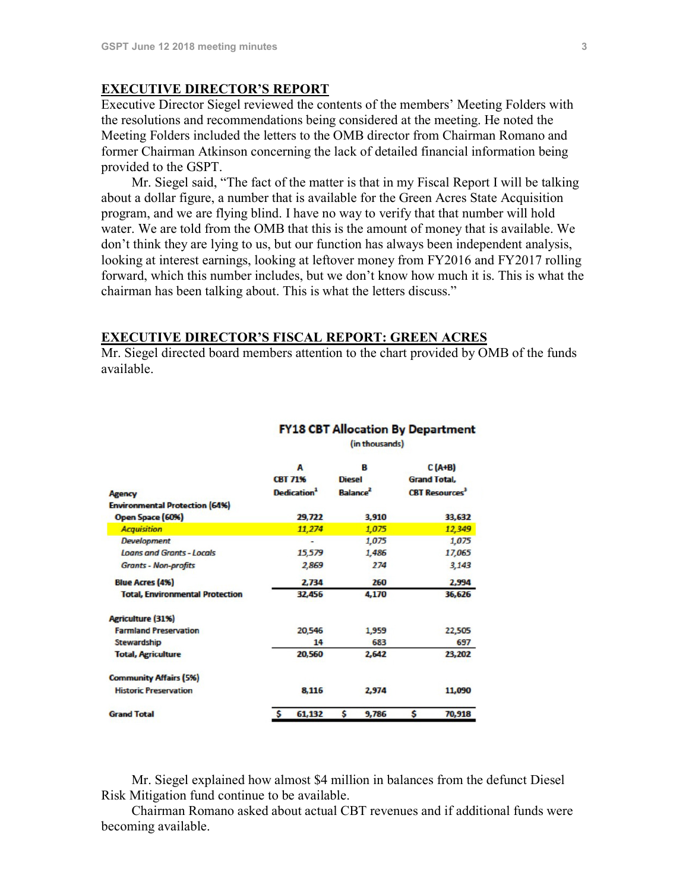#### **EXECUTIVE DIRECTOR'S REPORT**

Executive Director Siegel reviewed the contents of the members' Meeting Folders with the resolutions and recommendations being considered at the meeting. He noted the Meeting Folders included the letters to the OMB director from Chairman Romano and former Chairman Atkinson concerning the lack of detailed financial information being provided to the GSPT.

Mr. Siegel said, "The fact of the matter is that in my Fiscal Report I will be talking about a dollar figure, a number that is available for the Green Acres State Acquisition program, and we are flying blind. I have no way to verify that that number will hold water. We are told from the OMB that this is the amount of money that is available. We don't think they are lying to us, but our function has always been independent analysis, looking at interest earnings, looking at leftover money from FY2016 and FY2017 rolling forward, which this number includes, but we don't know how much it is. This is what the chairman has been talking about. This is what the letters discuss."

#### **EXECUTIVE DIRECTOR'S FISCAL REPORT: GREEN ACRES**

Mr. Siegel directed board members attention to the chart provided by OMB of the funds available.

|                                        |   | А<br><b>CBT 71%</b>            | B<br>Diesel                 |       |   | $C(A+B)$<br><b>Grand Total.</b> |
|----------------------------------------|---|--------------------------------|-----------------------------|-------|---|---------------------------------|
| <b>Agency</b>                          |   | <b>Dedication</b> <sup>1</sup> | <b>Balance</b> <sup>2</sup> |       |   | <b>CBT Resources</b>            |
| <b>Environmental Protection (64%)</b>  |   |                                |                             |       |   |                                 |
| Open Space (60%)                       |   | 29.722                         |                             | 3,910 |   | 33.632                          |
| <b>Acquisition</b>                     |   | 11,274                         |                             | 1,075 |   | 12,349                          |
| <b>Development</b>                     |   |                                |                             | 1,075 |   | 1,075                           |
| <b>Loans and Grants - Locals</b>       |   | 15,579                         |                             | 1,486 |   | 17,065                          |
| <b>Grants - Non-profits</b>            |   | 2,869                          |                             | 274   |   | 3,143                           |
| <b>Blue Acres (4%)</b>                 |   | 2,734                          |                             | 260   |   | 2,994                           |
| <b>Total, Environmental Protection</b> |   | 32,456                         |                             | 4,170 |   | 36,626                          |
| <b>Agriculture (31%)</b>               |   |                                |                             |       |   |                                 |
| <b>Farmland Preservation</b>           |   | 20,546                         |                             | 1,959 |   | 22,505                          |
| <b>Stewardship</b>                     |   | 14                             |                             | 683   |   | 697                             |
| <b>Total, Agriculture</b>              |   | 20,560                         |                             | 2,642 |   | 23,202                          |
| <b>Community Affairs (5%)</b>          |   |                                |                             |       |   |                                 |
| <b>Historic Preservation</b>           |   | 8,116                          |                             | 2.974 |   | 11,090                          |
| <b>Grand Total</b>                     | S | 61,132                         | \$                          | 9.786 | s | 70,918                          |

#### **FY18 CBT Allocation By Department**

(in thousands)

Mr. Siegel explained how almost \$4 million in balances from the defunct Diesel Risk Mitigation fund continue to be available.

Chairman Romano asked about actual CBT revenues and if additional funds were becoming available.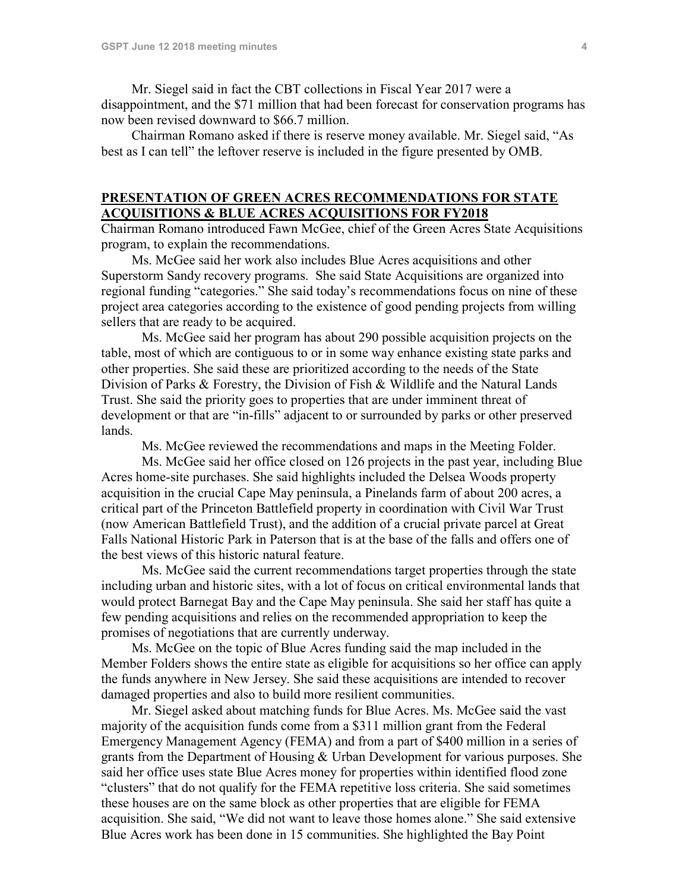Mr. Siegel said in fact the CBT collections in Fiscal Year 2017 were a disappointment, and the \$71 million that had been forecast for conservation programs has now been revised downward to \$66.7 million.

Chairman Romano asked if there is reserve money available. Mr. Siegel said, "As best as I can tell" the leftover reserve is included in the figure presented by OMB.

## **PRESENTATION OF GREEN ACRES RECOMMENDATIONS FOR STATE ACQUISITIONS & BLUE ACRES ACQUISITIONS FOR FY2018**

Chairman Romano introduced Fawn McGee, chief of the Green Acres State Acquisitions program, to explain the recommendations.

Ms. McGee said her work also includes Blue Acres acquisitions and other Superstorm Sandy recovery programs. She said State Acquisitions are organized into regional funding "categories." She said today's recommendations focus on nine of these project area categories according to the existence of good pending projects from willing sellers that are ready to be acquired.

Ms. McGee said her program has about 290 possible acquisition projects on the table, most of which are contiguous to or in some way enhance existing state parks and other properties. She said these are prioritized according to the needs of the State Division of Parks & Forestry, the Division of Fish & Wildlife and the Natural Lands Trust. She said the priority goes to properties that are under imminent threat of development or that are "in-fills" adjacent to or surrounded by parks or other preserved lands.

Ms. McGee reviewed the recommendations and maps in the Meeting Folder.

Ms. McGee said her office closed on 126 projects in the past year, including Blue Acres home-site purchases. She said highlights included the Delsea Woods property acquisition in the crucial Cape May peninsula, a Pinelands farm of about 200 acres, a critical part of the Princeton Battlefield property in coordination with Civil War Trust (now American Battlefield Trust), and the addition of a crucial private parcel at Great Falls National Historic Park in Paterson that is at the base of the falls and offers one of the best views of this historic natural feature.

Ms. McGee said the current recommendations target properties through the state including urban and historic sites, with a lot of focus on critical environmental lands that would protect Barnegat Bay and the Cape May peninsula. She said her staff has quite a few pending acquisitions and relies on the recommended appropriation to keep the promises of negotiations that are currently underway.

Ms. McGee on the topic of Blue Acres funding said the map included in the Member Folders shows the entire state as eligible for acquisitions so her office can apply the funds anywhere in New Jersey. She said these acquisitions are intended to recover damaged properties and also to build more resilient communities.

Mr. Siegel asked about matching funds for Blue Acres. Ms. McGee said the vast majority of the acquisition funds come from a \$311 million grant from the Federal Emergency Management Agency (FEMA) and from a part of \$400 million in a series of grants from the Department of Housing & Urban Development for various purposes. She said her office uses state Blue Acres money for properties within identified flood zone "clusters" that do not qualify for the FEMA repetitive loss criteria. She said sometimes these houses are on the same block as other properties that are eligible for FEMA acquisition. She said, "We did not want to leave those homes alone." She said extensive Blue Acres work has been done in 15 communities. She highlighted the Bay Point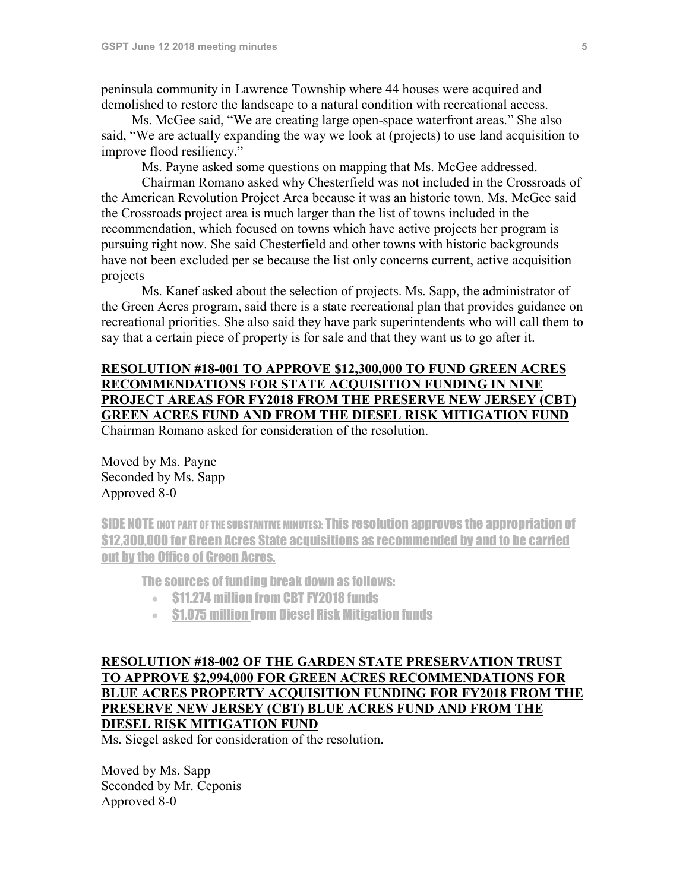peninsula community in Lawrence Township where 44 houses were acquired and demolished to restore the landscape to a natural condition with recreational access.

Ms. McGee said, "We are creating large open-space waterfront areas." She also said, "We are actually expanding the way we look at (projects) to use land acquisition to improve flood resiliency."

Ms. Payne asked some questions on mapping that Ms. McGee addressed.

Chairman Romano asked why Chesterfield was not included in the Crossroads of the American Revolution Project Area because it was an historic town. Ms. McGee said the Crossroads project area is much larger than the list of towns included in the recommendation, which focused on towns which have active projects her program is pursuing right now. She said Chesterfield and other towns with historic backgrounds have not been excluded per se because the list only concerns current, active acquisition projects

Ms. Kanef asked about the selection of projects. Ms. Sapp, the administrator of the Green Acres program, said there is a state recreational plan that provides guidance on recreational priorities. She also said they have park superintendents who will call them to say that a certain piece of property is for sale and that they want us to go after it.

## **RESOLUTION #18-001 TO APPROVE \$12,300,000 TO FUND GREEN ACRES RECOMMENDATIONS FOR STATE ACQUISITION FUNDING IN NINE PROJECT AREAS FOR FY2018 FROM THE PRESERVE NEW JERSEY (CBT) GREEN ACRES FUND AND FROM THE DIESEL RISK MITIGATION FUND** Chairman Romano asked for consideration of the resolution.

Moved by Ms. Payne Seconded by Ms. Sapp Approved 8-0

SIDE NOTE (NOT PART OF THE SUBSTANTIVE MINUTES): This resolution approves the appropriation of \$12,300,000 for Green Acres State acquisitions as recommended by and to be carried out by the Office of Green Acres.

The sources of funding break down as follows:

- \$11.274 million from CBT FY2018 funds
- \$1.075 million from Diesel Risk Mitigation funds

## **RESOLUTION #18-002 OF THE GARDEN STATE PRESERVATION TRUST TO APPROVE \$2,994,000 FOR GREEN ACRES RECOMMENDATIONS FOR BLUE ACRES PROPERTY ACQUISITION FUNDING FOR FY2018 FROM THE PRESERVE NEW JERSEY (CBT) BLUE ACRES FUND AND FROM THE DIESEL RISK MITIGATION FUND**

Ms. Siegel asked for consideration of the resolution.

Moved by Ms. Sapp Seconded by Mr. Ceponis Approved 8-0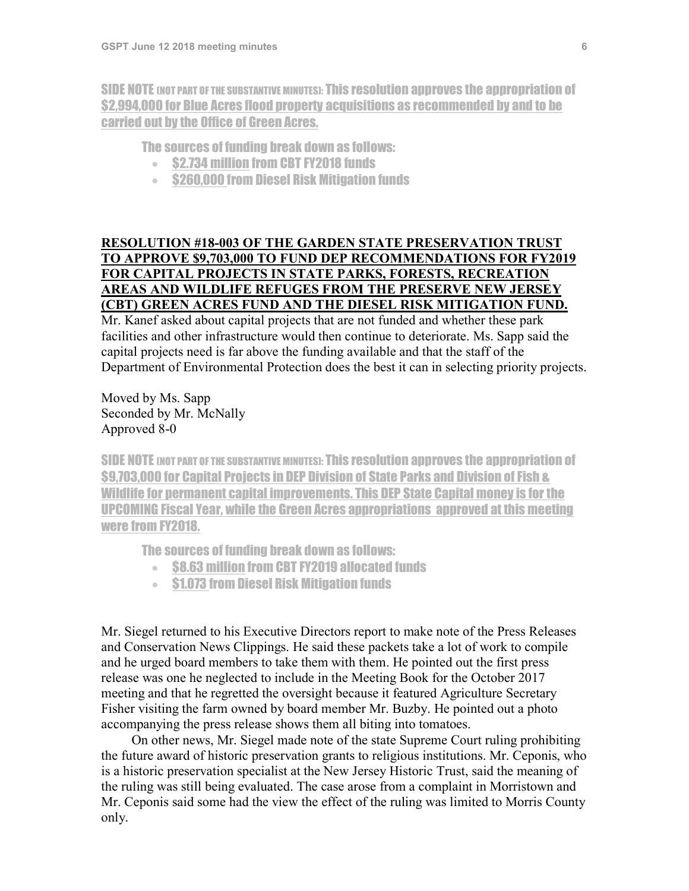SIDE NOTE (NOT PART OF THE SUBSTANTIVE MINUTES): This resolution approves the appropriation of \$2,994,000 for Blue Acres flood property acquisitions as recommended by and to be carried out by the Office of Green Acres.

## The sources of funding break down as follows:

- \$2.734 million from CBT FY2018 funds
- \$260,000 from Diesel Risk Mitigation funds

## **RESOLUTION #18-003 OF THE GARDEN STATE PRESERVATION TRUST TO APPROVE \$9,703,000 TO FUND DEP RECOMMENDATIONS FOR FY2019 FOR CAPITAL PROJECTS IN STATE PARKS, FORESTS, RECREATION AREAS AND WILDLIFE REFUGES FROM THE PRESERVE NEW JERSEY (CBT) GREEN ACRES FUND AND THE DIESEL RISK MITIGATION FUND.**

Mr. Kanef asked about capital projects that are not funded and whether these park facilities and other infrastructure would then continue to deteriorate. Ms. Sapp said the capital projects need is far above the funding available and that the staff of the Department of Environmental Protection does the best it can in selecting priority projects.

Moved by Ms. Sapp Seconded by Mr. McNally Approved 8-0

SIDE NOTE (NOT PART OF THE SUBSTANTIVE MINUTES): This resolution approves the appropriation of \$9,703,000 for Capital Projects in DEP Division of State Parks and Division of Fish & Wildlife for permanent capital improvements. This DEP State Capital money is for the UPCOMING Fiscal Year, while the Green Acres appropriations approved at this meeting were from FY2018.

The sources of funding break down as follows:

- \$8.63 million from CBT FY2019 allocated funds
- \$1.073 from Diesel Risk Mitigation funds

Mr. Siegel returned to his Executive Directors report to make note of the Press Releases and Conservation News Clippings. He said these packets take a lot of work to compile and he urged board members to take them with them. He pointed out the first press release was one he neglected to include in the Meeting Book for the October 2017 meeting and that he regretted the oversight because it featured Agriculture Secretary Fisher visiting the farm owned by board member Mr. Buzby. He pointed out a photo accompanying the press release shows them all biting into tomatoes.

On other news, Mr. Siegel made note of the state Supreme Court ruling prohibiting the future award of historic preservation grants to religious institutions. Mr. Ceponis, who is a historic preservation specialist at the New Jersey Historic Trust, said the meaning of the ruling was still being evaluated. The case arose from a complaint in Morristown and Mr. Ceponis said some had the view the effect of the ruling was limited to Morris County only.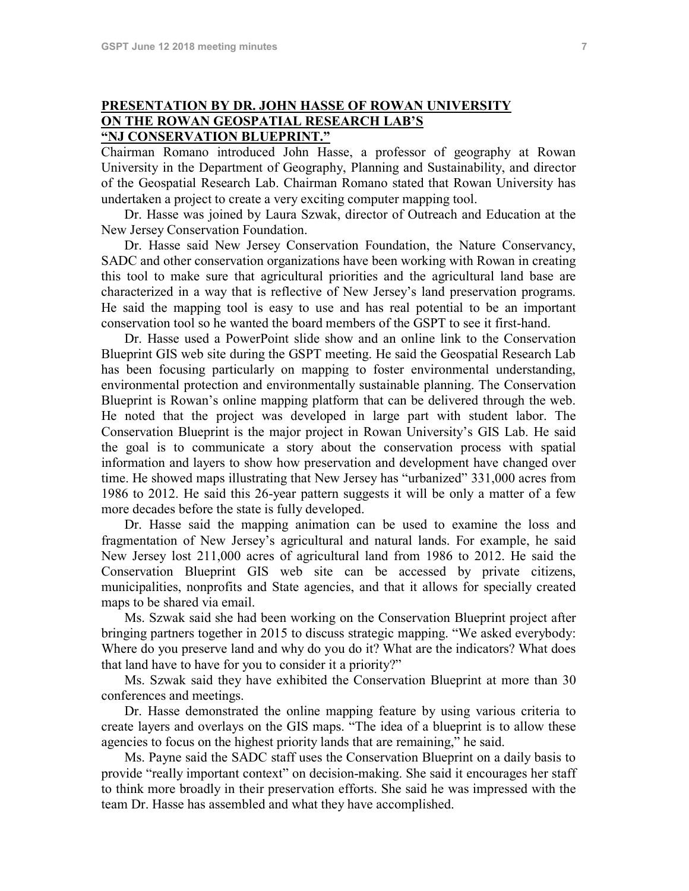## **PRESENTATION BY DR. JOHN HASSE OF ROWAN UNIVERSITY ON THE ROWAN GEOSPATIAL RESEARCH LAB'S "NJ CONSERVATION BLUEPRINT."**

Chairman Romano introduced John Hasse, a professor of geography at Rowan University in the Department of Geography, Planning and Sustainability, and director of the Geospatial Research Lab. Chairman Romano stated that Rowan University has undertaken a project to create a very exciting computer mapping tool.

Dr. Hasse was joined by Laura Szwak, director of Outreach and Education at the New Jersey Conservation Foundation.

Dr. Hasse said New Jersey Conservation Foundation, the Nature Conservancy, SADC and other conservation organizations have been working with Rowan in creating this tool to make sure that agricultural priorities and the agricultural land base are characterized in a way that is reflective of New Jersey's land preservation programs. He said the mapping tool is easy to use and has real potential to be an important conservation tool so he wanted the board members of the GSPT to see it first-hand.

Dr. Hasse used a PowerPoint slide show and an online link to the Conservation Blueprint GIS web site during the GSPT meeting. He said the Geospatial Research Lab has been focusing particularly on mapping to foster environmental understanding, environmental protection and environmentally sustainable planning. The Conservation Blueprint is Rowan's online mapping platform that can be delivered through the web. He noted that the project was developed in large part with student labor. The Conservation Blueprint is the major project in Rowan University's GIS Lab. He said the goal is to communicate a story about the conservation process with spatial information and layers to show how preservation and development have changed over time. He showed maps illustrating that New Jersey has "urbanized" 331,000 acres from 1986 to 2012. He said this 26-year pattern suggests it will be only a matter of a few more decades before the state is fully developed.

Dr. Hasse said the mapping animation can be used to examine the loss and fragmentation of New Jersey's agricultural and natural lands. For example, he said New Jersey lost 211,000 acres of agricultural land from 1986 to 2012. He said the Conservation Blueprint GIS web site can be accessed by private citizens, municipalities, nonprofits and State agencies, and that it allows for specially created maps to be shared via email.

Ms. Szwak said she had been working on the Conservation Blueprint project after bringing partners together in 2015 to discuss strategic mapping. "We asked everybody: Where do you preserve land and why do you do it? What are the indicators? What does that land have to have for you to consider it a priority?"

Ms. Szwak said they have exhibited the Conservation Blueprint at more than 30 conferences and meetings.

Dr. Hasse demonstrated the online mapping feature by using various criteria to create layers and overlays on the GIS maps. "The idea of a blueprint is to allow these agencies to focus on the highest priority lands that are remaining," he said.

Ms. Payne said the SADC staff uses the Conservation Blueprint on a daily basis to provide "really important context" on decision-making. She said it encourages her staff to think more broadly in their preservation efforts. She said he was impressed with the team Dr. Hasse has assembled and what they have accomplished.